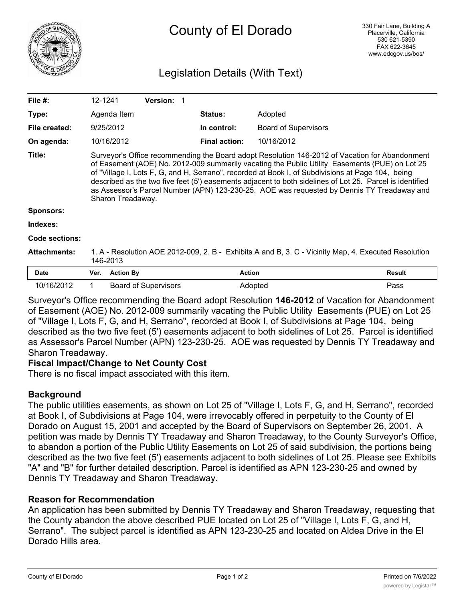

# Legislation Details (With Text)

| File $#$ :          | 12-1241                                                                                                                                                                                                                                                                                                                                                                                                                                                                                                                              |                  | <b>Version:</b>             |                      |                             |               |
|---------------------|--------------------------------------------------------------------------------------------------------------------------------------------------------------------------------------------------------------------------------------------------------------------------------------------------------------------------------------------------------------------------------------------------------------------------------------------------------------------------------------------------------------------------------------|------------------|-----------------------------|----------------------|-----------------------------|---------------|
| Type:               |                                                                                                                                                                                                                                                                                                                                                                                                                                                                                                                                      | Agenda Item      |                             | <b>Status:</b>       | Adopted                     |               |
| File created:       |                                                                                                                                                                                                                                                                                                                                                                                                                                                                                                                                      | 9/25/2012        |                             | In control:          | <b>Board of Supervisors</b> |               |
| On agenda:          |                                                                                                                                                                                                                                                                                                                                                                                                                                                                                                                                      | 10/16/2012       |                             | <b>Final action:</b> | 10/16/2012                  |               |
| Title:              | Surveyor's Office recommending the Board adopt Resolution 146-2012 of Vacation for Abandonment<br>of Easement (AOE) No. 2012-009 summarily vacating the Public Utility Easements (PUE) on Lot 25<br>of "Village I, Lots F, G, and H, Serrano", recorded at Book I, of Subdivisions at Page 104, being<br>described as the two five feet (5') easements adjacent to both sidelines of Lot 25. Parcel is identified<br>as Assessor's Parcel Number (APN) 123-230-25. AOE was requested by Dennis TY Treadaway and<br>Sharon Treadaway. |                  |                             |                      |                             |               |
| <b>Sponsors:</b>    |                                                                                                                                                                                                                                                                                                                                                                                                                                                                                                                                      |                  |                             |                      |                             |               |
| Indexes:            |                                                                                                                                                                                                                                                                                                                                                                                                                                                                                                                                      |                  |                             |                      |                             |               |
| Code sections:      |                                                                                                                                                                                                                                                                                                                                                                                                                                                                                                                                      |                  |                             |                      |                             |               |
| <b>Attachments:</b> | 1. A - Resolution AOE 2012-009, 2. B - Exhibits A and B, 3. C - Vicinity Map, 4. Executed Resolution<br>146-2013                                                                                                                                                                                                                                                                                                                                                                                                                     |                  |                             |                      |                             |               |
| <b>Date</b>         | Ver.                                                                                                                                                                                                                                                                                                                                                                                                                                                                                                                                 | <b>Action By</b> |                             | <b>Action</b>        |                             | <b>Result</b> |
| 10/16/2012          |                                                                                                                                                                                                                                                                                                                                                                                                                                                                                                                                      |                  | <b>Board of Supervisors</b> | Adopted              |                             | Pass          |

Surveyor's Office recommending the Board adopt Resolution **146-2012** of Vacation for Abandonment of Easement (AOE) No. 2012-009 summarily vacating the Public Utility Easements (PUE) on Lot 25 of "Village I, Lots F, G, and H, Serrano", recorded at Book I, of Subdivisions at Page 104, being described as the two five feet (5') easements adjacent to both sidelines of Lot 25. Parcel is identified as Assessor's Parcel Number (APN) 123-230-25. AOE was requested by Dennis TY Treadaway and Sharon Treadaway.

## **Fiscal Impact/Change to Net County Cost**

There is no fiscal impact associated with this item.

## **Background**

The public utilities easements, as shown on Lot 25 of "Village I, Lots F, G, and H, Serrano", recorded at Book I, of Subdivisions at Page 104, were irrevocably offered in perpetuity to the County of El Dorado on August 15, 2001 and accepted by the Board of Supervisors on September 26, 2001. A petition was made by Dennis TY Treadaway and Sharon Treadaway, to the County Surveyor's Office, to abandon a portion of the Public Utility Easements on Lot 25 of said subdivision, the portions being described as the two five feet (5') easements adjacent to both sidelines of Lot 25. Please see Exhibits "A" and "B" for further detailed description. Parcel is identified as APN 123-230-25 and owned by Dennis TY Treadaway and Sharon Treadaway.

## **Reason for Recommendation**

An application has been submitted by Dennis TY Treadaway and Sharon Treadaway, requesting that the County abandon the above described PUE located on Lot 25 of "Village I, Lots F, G, and H, Serrano". The subject parcel is identified as APN 123-230-25 and located on Aldea Drive in the El Dorado Hills area.